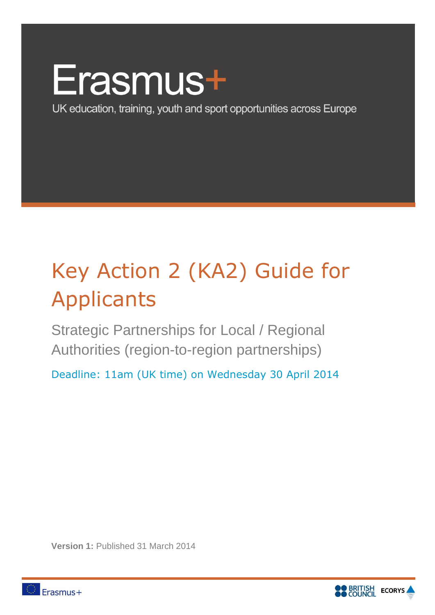# Erasmus+

UK education, training, youth and sport opportunities across Europe

## Key Action 2 (KA2) Guide for **Applicants**

Strategic Partnerships for Local / Regional Authorities (region-to-region partnerships)

Deadline: 11am (UK time) on Wednesday 30 April 2014

**Version 1: Published 31 March 2014** 



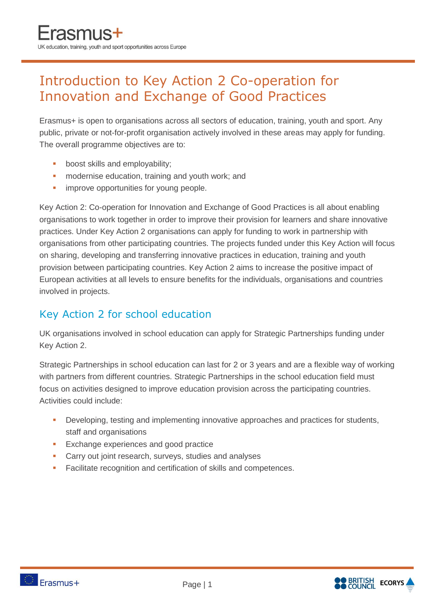### Introduction to Key Action 2 Co-operation for Innovation and Exchange of Good Practices

Erasmus+ is open to organisations across all sectors of education, training, youth and sport. Any public, private or not-for-profit organisation actively involved in these areas may apply for funding. The overall programme objectives are to:

- **boost skills and employability;**
- **n** modernise education, training and youth work; and
- **improve opportunities for young people.**

Key Action 2: Co-operation for Innovation and Exchange of Good Practices is all about enabling organisations to work together in order to improve their provision for learners and share innovative practices. Under Key Action 2 organisations can apply for funding to work in partnership with organisations from other participating countries. The projects funded under this Key Action will focus on sharing, developing and transferring innovative practices in education, training and youth provision between participating countries. Key Action 2 aims to increase the positive impact of European activities at all levels to ensure benefits for the individuals, organisations and countries involved in projects.

#### Key Action 2 for school education

UK organisations involved in school education can apply for Strategic Partnerships funding under Key Action 2.

Strategic Partnerships in school education can last for 2 or 3 years and are a flexible way of working with partners from different countries. Strategic Partnerships in the school education field must focus on activities designed to improve education provision across the participating countries. Activities could include:

- Developing, testing and implementing innovative approaches and practices for students, staff and organisations
- **Exchange experiences and good practice**
- **Carry out joint research, surveys, studies and analyses**
- **Facilitate recognition and certification of skills and competences.**

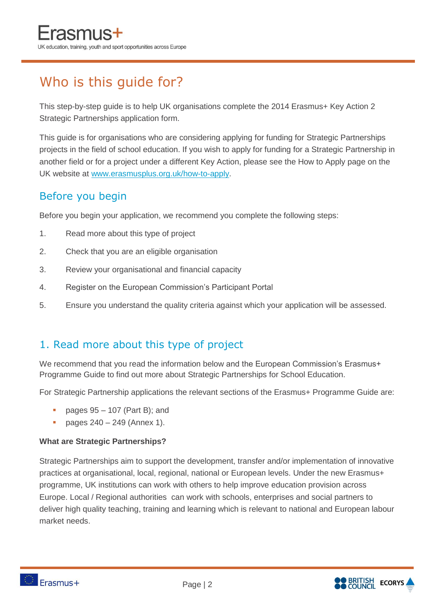## Who is this guide for?

This step-by-step guide is to help UK organisations complete the 2014 Erasmus+ Key Action 2 Strategic Partnerships application form.

This guide is for organisations who are considering applying for funding for Strategic Partnerships projects in the field of school education. If you wish to apply for funding for a Strategic Partnership in another field or for a project under a different Key Action, please see the How to Apply page on the UK website at [www.erasmusplus.org.uk/how-to-apply.](http://www.erasmusplus.org.uk/how-to-apply)

#### Before you begin

Before you begin your application, we recommend you complete the following steps:

- 1. Read more about this type of project
- 2. Check that you are an eligible organisation
- 3. Review your organisational and financial capacity
- 4. Register on the European Commission's Participant Portal
- 5. Ensure you understand the quality criteria against which your application will be assessed.

#### 1. Read more about this type of project

We recommend that you read the information below and the European Commission's Erasmus+ Programme Guide to find out more about Strategic Partnerships for School Education.

For Strategic Partnership applications the relevant sections of the Erasmus+ Programme Guide are:

- pages 95 107 (Part B); and
- pages 240 249 (Annex 1).

#### **What are Strategic Partnerships?**

Strategic Partnerships aim to support the development, transfer and/or implementation of innovative practices at organisational, local, regional, national or European levels. Under the new Erasmus+ programme, UK institutions can work with others to help improve education provision across Europe. Local / Regional authorities can work with schools, enterprises and social partners to deliver high quality teaching, training and learning which is relevant to national and European labour market needs.

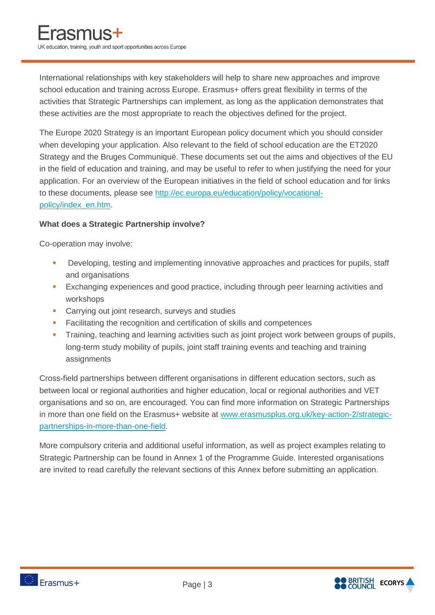International relationships with key stakeholders will help to share new approaches and improve school education and training across Europe. Erasmus+ offers great flexibility in terms of the activities that Strategic Partnerships can implement, as long as the application demonstrates that these activities are the most appropriate to reach the objectives defined for the project.

The Europe 2020 Strategy is an important European policy document which you should consider when developing your application. Also relevant to the field of school education are the ET2020 Strategy and the Bruges Communiqué. These documents set out the aims and objectives of the EU in the field of education and training, and may be useful to refer to when justifying the need for your application. For an overview of the European initiatives in the field of school education and for links to these documents, please see [http://ec.europa.eu/education/policy/vocational](http://ec.europa.eu/education/policy/vocational-policy/index_en.htm)[policy/index\\_en.htm.](http://ec.europa.eu/education/policy/vocational-policy/index_en.htm)

#### **What does a Strategic Partnership involve?**

Co-operation may involve:

- Developing, testing and implementing innovative approaches and practices for pupils, staff and organisations
- **Exchanging experiences and good practice, including through peer learning activities and** workshops
- **Carrying out joint research, surveys and studies**
- **Facilitating the recognition and certification of skills and competences**
- **Training, teaching and learning activities such as joint project work between groups of pupils,** long-term study mobility of pupils, joint staff training events and teaching and training assignments

Cross-field partnerships between different organisations in different education sectors, such as between local or regional authorities and higher education, local or regional authorities and VET organisations and so on, are encouraged. You can find more information on Strategic Partnerships in more than one field on the Erasmus+ website at [www.erasmusplus.org.uk/key-action-2/strategic](http://www.erasmusplus.org.uk/key-action-2/strategic-partnerships-in-more-than-one-field)[partnerships-in-more-than-one-field.](http://www.erasmusplus.org.uk/key-action-2/strategic-partnerships-in-more-than-one-field)

More compulsory criteria and additional useful information, as well as project examples relating to Strategic Partnership can be found in Annex 1 of the Programme Guide. Interested organisations are invited to read carefully the relevant sections of this Annex before submitting an application.



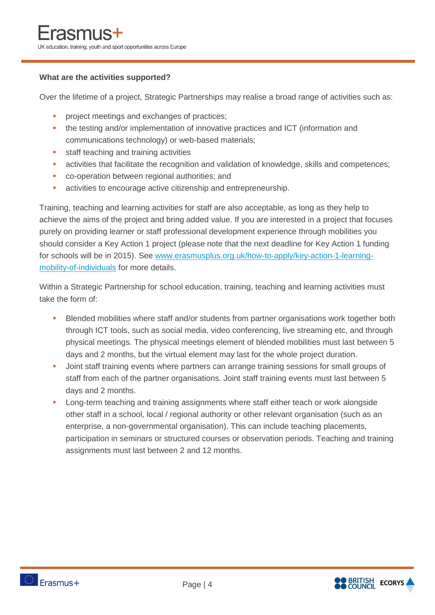#### **What are the activities supported?**

Over the lifetime of a project, Strategic Partnerships may realise a broad range of activities such as:

- **project meetings and exchanges of practices;**
- the testing and/or implementation of innovative practices and ICT (information and communications technology) or web-based materials;
- **staff teaching and training activities**
- activities that facilitate the recognition and validation of knowledge, skills and competences;
- **CO-operation between regional authorities; and**
- **activities to encourage active citizenship and entrepreneurship.**

Training, teaching and learning activities for staff are also acceptable, as long as they help to achieve the aims of the project and bring added value. If you are interested in a project that focuses purely on providing learner or staff professional development experience through mobilities you should consider a Key Action 1 project (please note that the next deadline for Key Action 1 funding for schools will be in 2015). See [www.erasmusplus.org.uk/how-to-apply/key-action-1-learning](http://www.erasmusplus.org.uk/how-to-apply/key-action-1-learning-mobility-of-individuals)[mobility-of-individuals](http://www.erasmusplus.org.uk/how-to-apply/key-action-1-learning-mobility-of-individuals) for more details.

Within a Strategic Partnership for school education, training, teaching and learning activities must take the form of:

- Blended mobilities where staff and/or students from partner organisations work together both through ICT tools, such as social media, video conferencing, live streaming etc, and through physical meetings. The physical meetings element of blended mobilities must last between 5 days and 2 months, but the virtual element may last for the whole project duration.
- **Joint staff training events where partners can arrange training sessions for small groups of** staff from each of the partner organisations. Joint staff training events must last between 5 days and 2 months.
- **-** Long-term teaching and training assignments where staff either teach or work alongside other staff in a school, local / regional authority or other relevant organisation (such as an enterprise, a non-governmental organisation). This can include teaching placements, participation in seminars or structured courses or observation periods. Teaching and training assignments must last between 2 and 12 months.

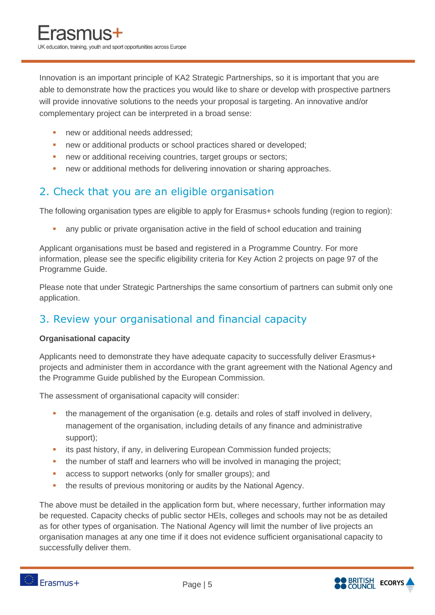Innovation is an important principle of KA2 Strategic Partnerships, so it is important that you are able to demonstrate how the practices you would like to share or develop with prospective partners will provide innovative solutions to the needs your proposal is targeting. An innovative and/or complementary project can be interpreted in a broad sense:

- new or additional needs addressed:
- **new or additional products or school practices shared or developed;**
- new or additional receiving countries, target groups or sectors;
- **new or additional methods for delivering innovation or sharing approaches.**

#### 2. Check that you are an eligible organisation

The following organisation types are eligible to apply for Erasmus+ schools funding (region to region):

any public or private organisation active in the field of school education and training

Applicant organisations must be based and registered in a Programme Country. For more information, please see the specific eligibility criteria for Key Action 2 projects on page 97 of the Programme Guide.

Please note that under Strategic Partnerships the same consortium of partners can submit only one application.

#### 3. Review your organisational and financial capacity

#### **Organisational capacity**

Applicants need to demonstrate they have adequate capacity to successfully deliver Erasmus+ projects and administer them in accordance with the grant agreement with the National Agency and the Programme Guide published by the European Commission.

The assessment of organisational capacity will consider:

- the management of the organisation (e.g. details and roles of staff involved in delivery, management of the organisation, including details of any finance and administrative support);
- **i** its past history, if any, in delivering European Commission funded projects;
- the number of staff and learners who will be involved in managing the project;
- **access to support networks (only for smaller groups); and**
- **the results of previous monitoring or audits by the National Agency.**

The above must be detailed in the application form but, where necessary, further information may be requested. Capacity checks of public sector HEIs, colleges and schools may not be as detailed as for other types of organisation. The National Agency will limit the number of live projects an organisation manages at any one time if it does not evidence sufficient organisational capacity to successfully deliver them.

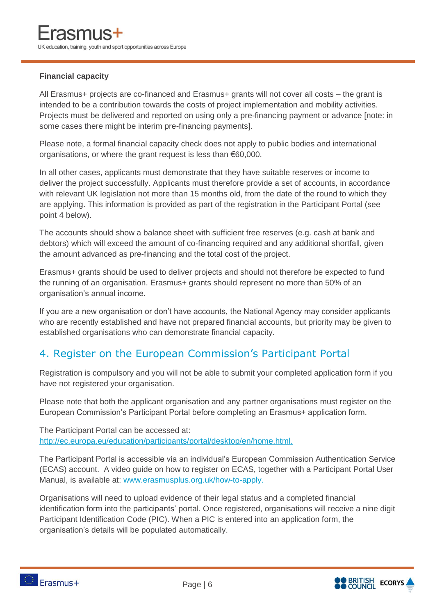#### **Financial capacity**

All Erasmus+ projects are co-financed and Erasmus+ grants will not cover all costs – the grant is intended to be a contribution towards the costs of project implementation and mobility activities. Projects must be delivered and reported on using only a pre-financing payment or advance [note: in some cases there might be interim pre-financing payments].

Please note, a formal financial capacity check does not apply to public bodies and international organisations, or where the grant request is less than €60,000.

In all other cases, applicants must demonstrate that they have suitable reserves or income to deliver the project successfully. Applicants must therefore provide a set of accounts, in accordance with relevant UK legislation not more than 15 months old, from the date of the round to which they are applying. This information is provided as part of the registration in the Participant Portal (see point 4 below).

The accounts should show a balance sheet with sufficient free reserves (e.g. cash at bank and debtors) which will exceed the amount of co-financing required and any additional shortfall, given the amount advanced as pre-financing and the total cost of the project.

Erasmus+ grants should be used to deliver projects and should not therefore be expected to fund the running of an organisation. Erasmus+ grants should represent no more than 50% of an organisation's annual income.

If you are a new organisation or don't have accounts, the National Agency may consider applicants who are recently established and have not prepared financial accounts, but priority may be given to established organisations who can demonstrate financial capacity.

#### 4. Register on the European Commission's Participant Portal

Registration is compulsory and you will not be able to submit your completed application form if you have not registered your organisation.

Please note that both the applicant organisation and any partner organisations must register on the European Commission's Participant Portal before completing an Erasmus+ application form.

The Participant Portal can be accessed at: [http://ec.europa.eu/education/participants/portal/desktop/en/home.html.](http://ec.europa.eu/education/participants/portal/desktop/en/home.html)

The Participant Portal is accessible via an individual's European Commission Authentication Service (ECAS) account. A video guide on how to register on ECAS, together with a Participant Portal User Manual, is available at: [www.erasmusplus.org.uk/how-to-apply.](http://www.erasmusplus.org.uk/how-to-apply)

Organisations will need to upload evidence of their legal status and a completed financial identification form into the participants' portal. Once registered, organisations will receive a nine digit Participant Identification Code (PIC). When a PIC is entered into an application form, the organisation's details will be populated automatically.



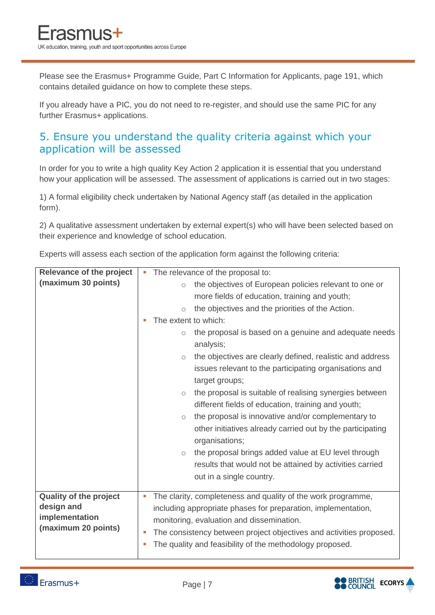Please see the Erasmus+ Programme Guide, Part C Information for Applicants, page 191, which contains detailed guidance on how to complete these steps.

If you already have a PIC, you do not need to re-register, and should use the same PIC for any further Erasmus+ applications.

#### 5. Ensure you understand the quality criteria against which your application will be assessed

In order for you to write a high quality Key Action 2 application it is essential that you understand how your application will be assessed. The assessment of applications is carried out in two stages:

1) A formal eligibility check undertaken by National Agency staff (as detailed in the application form).

2) A qualitative assessment undertaken by external expert(s) who will have been selected based on their experience and knowledge of school education.

Experts will assess each section of the application form against the following criteria:

| <b>Relevance of the project</b> | The relevance of the proposal to:                                                                                                                |
|---------------------------------|--------------------------------------------------------------------------------------------------------------------------------------------------|
| (maximum 30 points)             | the objectives of European policies relevant to one or<br>$\circ$                                                                                |
|                                 | more fields of education, training and youth;                                                                                                    |
|                                 | the objectives and the priorities of the Action.<br>$\circ$                                                                                      |
|                                 | The extent to which:<br>ш                                                                                                                        |
|                                 | the proposal is based on a genuine and adequate needs<br>$\circlearrowright$<br>analysis;                                                        |
|                                 | the objectives are clearly defined, realistic and address<br>$\circ$<br>issues relevant to the participating organisations and<br>target groups; |
|                                 | the proposal is suitable of realising synergies between<br>$\circlearrowright$<br>different fields of education, training and youth;             |
|                                 | the proposal is innovative and/or complementary to<br>$\circ$<br>other initiatives already carried out by the participating<br>organisations;    |
|                                 | the proposal brings added value at EU level through<br>$\circlearrowright$                                                                       |
|                                 | results that would not be attained by activities carried                                                                                         |
|                                 | out in a single country.                                                                                                                         |
|                                 |                                                                                                                                                  |
| <b>Quality of the project</b>   | The clarity, completeness and quality of the work programme,<br>п                                                                                |
| design and<br>implementation    | including appropriate phases for preparation, implementation,                                                                                    |
| (maximum 20 points)             | monitoring, evaluation and dissemination.                                                                                                        |
|                                 | The consistency between project objectives and activities proposed.<br>×                                                                         |
|                                 | The quality and feasibility of the methodology proposed.<br>п                                                                                    |



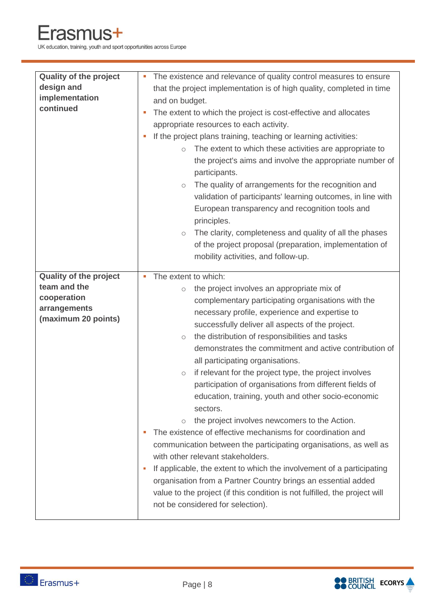UK education, training, youth and sport opportunities across Europe

| <b>Quality of the project</b><br>design and<br>implementation<br>continued                          | The existence and relevance of quality control measures to ensure<br>T.<br>that the project implementation is of high quality, completed in time<br>and on budget.<br>The extent to which the project is cost-effective and allocates<br>T.<br>appropriate resources to each activity.<br>If the project plans training, teaching or learning activities:<br>The extent to which these activities are appropriate to<br>$\bigcirc$<br>the project's aims and involve the appropriate number of<br>participants.<br>The quality of arrangements for the recognition and<br>$\circlearrowright$<br>validation of participants' learning outcomes, in line with<br>European transparency and recognition tools and<br>principles.<br>The clarity, completeness and quality of all the phases<br>$\circlearrowright$<br>of the project proposal (preparation, implementation of<br>mobility activities, and follow-up.                                                                                                                                                                                                          |
|-----------------------------------------------------------------------------------------------------|-----------------------------------------------------------------------------------------------------------------------------------------------------------------------------------------------------------------------------------------------------------------------------------------------------------------------------------------------------------------------------------------------------------------------------------------------------------------------------------------------------------------------------------------------------------------------------------------------------------------------------------------------------------------------------------------------------------------------------------------------------------------------------------------------------------------------------------------------------------------------------------------------------------------------------------------------------------------------------------------------------------------------------------------------------------------------------------------------------------------------------|
| <b>Quality of the project</b><br>team and the<br>cooperation<br>arrangements<br>(maximum 20 points) | The extent to which:<br>E<br>the project involves an appropriate mix of<br>$\bigcirc$<br>complementary participating organisations with the<br>necessary profile, experience and expertise to<br>successfully deliver all aspects of the project.<br>the distribution of responsibilities and tasks<br>$\bigcirc$<br>demonstrates the commitment and active contribution of<br>all participating organisations.<br>if relevant for the project type, the project involves<br>$\bigcirc$<br>participation of organisations from different fields of<br>education, training, youth and other socio-economic<br>sectors.<br>the project involves newcomers to the Action.<br>$\circ$<br>The existence of effective mechanisms for coordination and<br>communication between the participating organisations, as well as<br>with other relevant stakeholders.<br>If applicable, the extent to which the involvement of a participating<br>п<br>organisation from a Partner Country brings an essential added<br>value to the project (if this condition is not fulfilled, the project will<br>not be considered for selection). |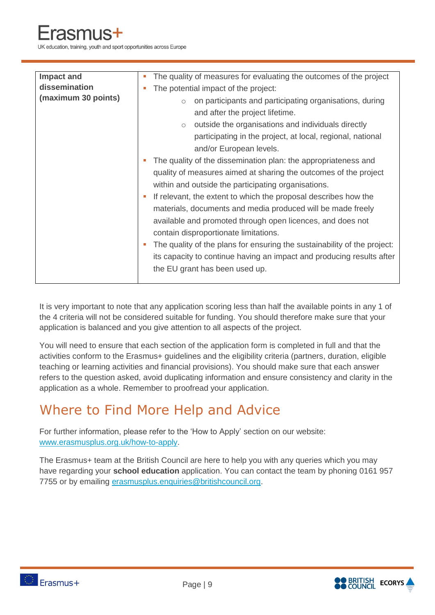UK education, training, youth and sport opportunities across Europe

| <b>Impact and</b>   | The quality of measures for evaluating the outcomes of the project<br>×,                                                                                                                                                                                                                                                                                                                                                                                                                                                                                                                                                                                                                                                                                                                                                                                                                                |
|---------------------|---------------------------------------------------------------------------------------------------------------------------------------------------------------------------------------------------------------------------------------------------------------------------------------------------------------------------------------------------------------------------------------------------------------------------------------------------------------------------------------------------------------------------------------------------------------------------------------------------------------------------------------------------------------------------------------------------------------------------------------------------------------------------------------------------------------------------------------------------------------------------------------------------------|
| dissemination       | The potential impact of the project:<br>п                                                                                                                                                                                                                                                                                                                                                                                                                                                                                                                                                                                                                                                                                                                                                                                                                                                               |
| (maximum 30 points) | on participants and participating organisations, during<br>$\circ$<br>and after the project lifetime.<br>outside the organisations and individuals directly<br>$\circ$<br>participating in the project, at local, regional, national<br>and/or European levels.<br>The quality of the dissemination plan: the appropriateness and<br>quality of measures aimed at sharing the outcomes of the project<br>within and outside the participating organisations.<br>If relevant, the extent to which the proposal describes how the<br>×<br>materials, documents and media produced will be made freely<br>available and promoted through open licences, and does not<br>contain disproportionate limitations.<br>The quality of the plans for ensuring the sustainability of the project:<br>m.<br>its capacity to continue having an impact and producing results after<br>the EU grant has been used up. |
|                     |                                                                                                                                                                                                                                                                                                                                                                                                                                                                                                                                                                                                                                                                                                                                                                                                                                                                                                         |

It is very important to note that any application scoring less than half the available points in any 1 of the 4 criteria will not be considered suitable for funding. You should therefore make sure that your application is balanced and you give attention to all aspects of the project.

You will need to ensure that each section of the application form is completed in full and that the activities conform to the Erasmus+ guidelines and the eligibility criteria (partners, duration, eligible teaching or learning activities and financial provisions). You should make sure that each answer refers to the question asked, avoid duplicating information and ensure consistency and clarity in the application as a whole. Remember to proofread your application.

## Where to Find More Help and Advice

For further information, please refer to the 'How to Apply' section on our website: [www.erasmusplus.org.uk/how-to-apply.](http://www.erasmusplus.org.uk/how-to-apply)

The Erasmus+ team at the British Council are here to help you with any queries which you may have regarding your **school education** application. You can contact the team by phoning 0161 957 7755 or by emailing [erasmusplus.enquiries@britishcouncil.org.](mailto:erasmusplus.enquiries@britishcouncil.org)



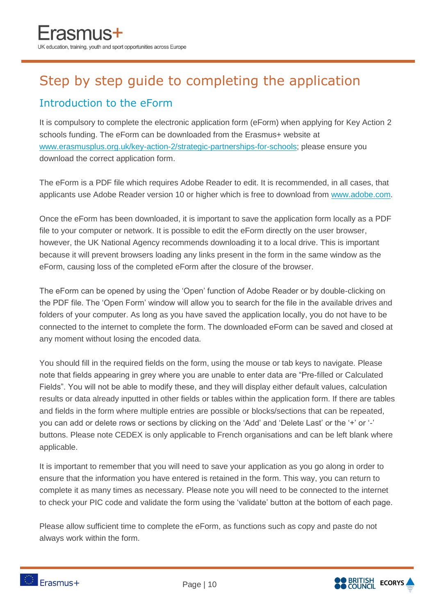## Step by step guide to completing the application

#### Introduction to the eForm

It is compulsory to complete the electronic application form (eForm) when applying for Key Action 2 schools funding. The eForm can be downloaded from the Erasmus+ website at [www.erasmusplus.org.uk/key-action-2/strategic-partnerships-for-schools;](http://www.erasmusplus.org.uk/key-action-2/strategic-partnerships-for-schools) please ensure you download the correct application form.

The eForm is a PDF file which requires Adobe Reader to edit. It is recommended, in all cases, that applicants use Adobe Reader version 10 or higher which is free to download from [www.adobe.com.](http://www.adobe.com/)

Once the eForm has been downloaded, it is important to save the application form locally as a PDF file to your computer or network. It is possible to edit the eForm directly on the user browser, however, the UK National Agency recommends downloading it to a local drive. This is important because it will prevent browsers loading any links present in the form in the same window as the eForm, causing loss of the completed eForm after the closure of the browser.

The eForm can be opened by using the 'Open' function of Adobe Reader or by double-clicking on the PDF file. The 'Open Form' window will allow you to search for the file in the available drives and folders of your computer. As long as you have saved the application locally, you do not have to be connected to the internet to complete the form. The downloaded eForm can be saved and closed at any moment without losing the encoded data.

You should fill in the required fields on the form, using the mouse or tab keys to navigate. Please note that fields appearing in grey where you are unable to enter data are "Pre-filled or Calculated Fields". You will not be able to modify these, and they will display either default values, calculation results or data already inputted in other fields or tables within the application form. If there are tables and fields in the form where multiple entries are possible or blocks/sections that can be repeated, you can add or delete rows or sections by clicking on the 'Add' and 'Delete Last' or the '+' or '-' buttons. Please note CEDEX is only applicable to French organisations and can be left blank where applicable.

It is important to remember that you will need to save your application as you go along in order to ensure that the information you have entered is retained in the form. This way, you can return to complete it as many times as necessary. Please note you will need to be connected to the internet to check your PIC code and validate the form using the 'validate' button at the bottom of each page.

Please allow sufficient time to complete the eForm, as functions such as copy and paste do not always work within the form.

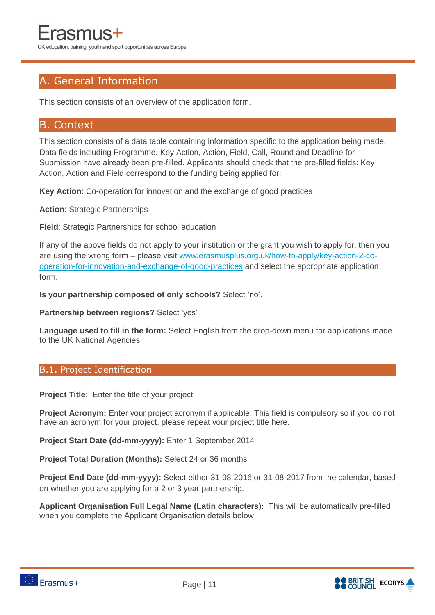#### A. General Information

This section consists of an overview of the application form.

#### B. Context

This section consists of a data table containing information specific to the application being made. Data fields including Programme, Key Action, Action, Field, Call, Round and Deadline for Submission have already been pre-filled. Applicants should check that the pre-filled fields: Key Action, Action and Field correspond to the funding being applied for:

**Key Action**: Co-operation for innovation and the exchange of good practices

**Action**: Strategic Partnerships

**Field**: Strategic Partnerships for school education

If any of the above fields do not apply to your institution or the grant you wish to apply for, then you are using the wrong form – please visit [www.erasmusplus.org.uk/how-to-apply/key-action-2-co](http://www.erasmusplus.org.uk/how-to-apply/key-action-2-co-operation-for-innovation-and-exchange-of-good-practices)[operation-for-innovation-and-exchange-of-good-practices](http://www.erasmusplus.org.uk/how-to-apply/key-action-2-co-operation-for-innovation-and-exchange-of-good-practices) and select the appropriate application form.

**Is your partnership composed of only schools?** Select 'no'.

**Partnership between regions?** Select 'yes'

**Language used to fill in the form:** Select English from the drop-down menu for applications made to the UK National Agencies.

#### B.1. Project Identification

**Project Title:** Enter the title of your project

**Project Acronym:** Enter your project acronym if applicable. This field is compulsory so if you do not have an acronym for your project, please repeat your project title here.

**Project Start Date (dd-mm-yyyy):** Enter 1 September 2014

**Project Total Duration (Months):** Select 24 or 36 months

**Project End Date (dd-mm-yyyy):** Select either 31-08-2016 or 31-08-2017 from the calendar, based on whether you are applying for a 2 or 3 year partnership.

**Applicant Organisation Full Legal Name (Latin characters):** This will be automatically pre-filled when you complete the Applicant Organisation details below

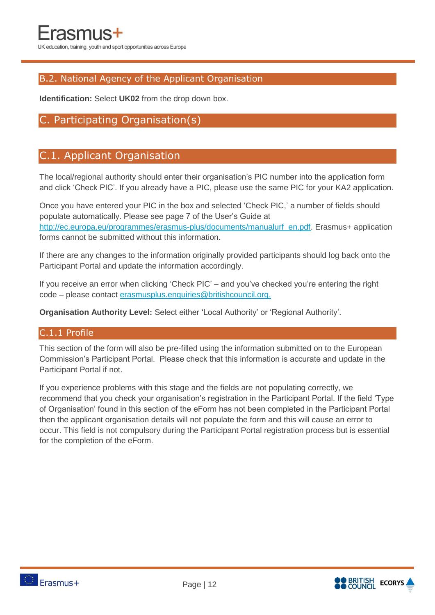#### B.2. National Agency of the Applicant Organisation

**Identification:** Select **UK02** from the drop down box.

#### C. Participating Organisation(s)

#### C.1. Applicant Organisation

The local/regional authority should enter their organisation's PIC number into the application form and click 'Check PIC'. If you already have a PIC, please use the same PIC for your KA2 application.

Once you have entered your PIC in the box and selected 'Check PIC,' a number of fields should populate automatically. Please see page 7 of the User's Guide at [http://ec.europa.eu/programmes/erasmus-plus/documents/manualurf\\_en.pdf.](http://ec.europa.eu/programmes/erasmus-plus/documents/manualurf_en.pdf) Erasmus+ application forms cannot be submitted without this information.

If there are any changes to the information originally provided participants should log back onto the Participant Portal and update the information accordingly.

If you receive an error when clicking 'Check PIC' – and you've checked you're entering the right code – please contact [erasmusplus.enquiries@britishcouncil.org.](mailto:erasmusplus.enquiries@britishcouncil.org)

**Organisation Authority Level:** Select either 'Local Authority' or 'Regional Authority'.

#### C.1.1 Profile

This section of the form will also be pre-filled using the information submitted on to the European Commission's Participant Portal. Please check that this information is accurate and update in the Participant Portal if not.

If you experience problems with this stage and the fields are not populating correctly, we recommend that you check your organisation's registration in the Participant Portal. If the field 'Type of Organisation' found in this section of the eForm has not been completed in the Participant Portal then the applicant organisation details will not populate the form and this will cause an error to occur. This field is not compulsory during the Participant Portal registration process but is essential for the completion of the eForm.



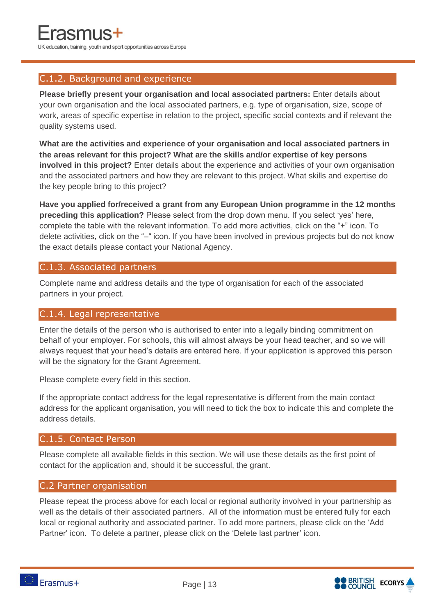#### C.1.2. Background and experience

**Please briefly present your organisation and local associated partners:** Enter details about your own organisation and the local associated partners, e.g. type of organisation, size, scope of work, areas of specific expertise in relation to the project, specific social contexts and if relevant the quality systems used.

**What are the activities and experience of your organisation and local associated partners in the areas relevant for this project? What are the skills and/or expertise of key persons involved in this project?** Enter details about the experience and activities of your own organisation and the associated partners and how they are relevant to this project. What skills and expertise do the key people bring to this project?

**Have you applied for/received a grant from any European Union programme in the 12 months preceding this application?** Please select from the drop down menu. If you select 'yes' here, complete the table with the relevant information. To add more activities, click on the "+" icon. To delete activities, click on the "–" icon. If you have been involved in previous projects but do not know the exact details please contact your National Agency.

#### C.1.3. Associated partners

Complete name and address details and the type of organisation for each of the associated partners in your project.

#### C.1.4. Legal representative

Enter the details of the person who is authorised to enter into a legally binding commitment on behalf of your employer. For schools, this will almost always be your head teacher, and so we will always request that your head's details are entered here. If your application is approved this person will be the signatory for the Grant Agreement.

Please complete every field in this section.

If the appropriate contact address for the legal representative is different from the main contact address for the applicant organisation, you will need to tick the box to indicate this and complete the address details.

#### C.1.5. Contact Person

Please complete all available fields in this section. We will use these details as the first point of contact for the application and, should it be successful, the grant.

#### C.2 Partner organisation

Please repeat the process above for each local or regional authority involved in your partnership as well as the details of their associated partners. All of the information must be entered fully for each local or regional authority and associated partner. To add more partners, please click on the 'Add Partner' icon. To delete a partner, please click on the 'Delete last partner' icon.

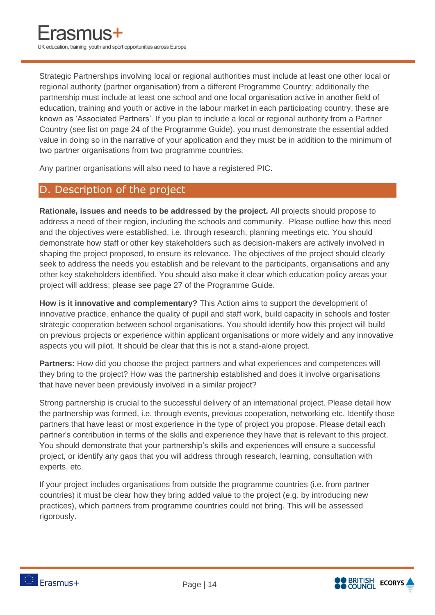Strategic Partnerships involving local or regional authorities must include at least one other local or regional authority (partner organisation) from a different Programme Country; additionally the partnership must include at least one school and one local organisation active in another field of education, training and youth or active in the labour market in each participating country, these are known as 'Associated Partners'. If you plan to include a local or regional authority from a Partner Country (see list on page 24 of the Programme Guide), you must demonstrate the essential added value in doing so in the narrative of your application and they must be in addition to the minimum of two partner organisations from two programme countries.

Any partner organisations will also need to have a registered PIC.

#### D. Description of the project

**Rationale, issues and needs to be addressed by the project.** All projects should propose to address a need of their region, including the schools and community. Please outline how this need and the objectives were established, i.e. through research, planning meetings etc. You should demonstrate how staff or other key stakeholders such as decision-makers are actively involved in shaping the project proposed, to ensure its relevance. The objectives of the project should clearly seek to address the needs you establish and be relevant to the participants, organisations and any other key stakeholders identified. You should also make it clear which education policy areas your project will address; please see page 27 of the Programme Guide.

**How is it innovative and complementary?** This Action aims to support the development of innovative practice, enhance the quality of pupil and staff work, build capacity in schools and foster strategic cooperation between school organisations. You should identify how this project will build on previous projects or experience within applicant organisations or more widely and any innovative aspects you will pilot. It should be clear that this is not a stand-alone project.

**Partners:** How did you choose the project partners and what experiences and competences will they bring to the project? How was the partnership established and does it involve organisations that have never been previously involved in a similar project?

Strong partnership is crucial to the successful delivery of an international project. Please detail how the partnership was formed, i.e. through events, previous cooperation, networking etc. Identify those partners that have least or most experience in the type of project you propose. Please detail each partner's contribution in terms of the skills and experience they have that is relevant to this project. You should demonstrate that your partnership's skills and experiences will ensure a successful project, or identify any gaps that you will address through research, learning, consultation with experts, etc.

If your project includes organisations from outside the programme countries (i.e. from partner countries) it must be clear how they bring added value to the project (e.g. by introducing new practices), which partners from programme countries could not bring. This will be assessed rigorously.

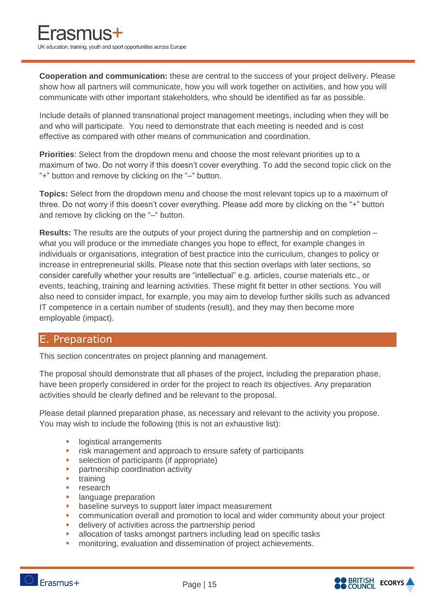**Cooperation and communication:** these are central to the success of your project delivery. Please show how all partners will communicate, how you will work together on activities, and how you will communicate with other important stakeholders, who should be identified as far as possible.

Include details of planned transnational project management meetings, including when they will be and who will participate. You need to demonstrate that each meeting is needed and is cost effective as compared with other means of communication and coordination.

**Priorities**: Select from the dropdown menu and choose the most relevant priorities up to a maximum of two. Do not worry if this doesn't cover everything. To add the second topic click on the "+" button and remove by clicking on the "–" button.

**Topics:** Select from the dropdown menu and choose the most relevant topics up to a maximum of three. Do not worry if this doesn't cover everything. Please add more by clicking on the "+" button and remove by clicking on the "–" button.

**Results:** The results are the outputs of your project during the partnership and on completion – what you will produce or the immediate changes you hope to effect, for example changes in individuals or organisations, integration of best practice into the curriculum, changes to policy or increase in entrepreneurial skills. Please note that this section overlaps with later sections, so consider carefully whether your results are "intellectual" e.g. articles, course materials etc., or events, teaching, training and learning activities. These might fit better in other sections. You will also need to consider impact, for example, you may aim to develop further skills such as advanced IT competence in a certain number of students (result), and they may then become more employable (impact).

#### E. Preparation

This section concentrates on project planning and management.

The proposal should demonstrate that all phases of the project, including the preparation phase, have been properly considered in order for the project to reach its objectives. Any preparation activities should be clearly defined and be relevant to the proposal.

Please detail planned preparation phase, as necessary and relevant to the activity you propose. You may wish to include the following (this is not an exhaustive list):

- **Industrial arrangements**
- Fisk management and approach to ensure safety of participants<br>Exercise of participants (if appropriate)
- selection of participants (if appropriate)
- **•** partnership coordination activity
- $\blacksquare$  training
- **research**
- **Industrian** language preparation
- **•** baseline surveys to support later impact measurement
- communication overall and promotion to local and wider community about your project
- delivery of activities across the partnership period
- allocation of tasks amongst partners including lead on specific tasks
- **EXECT** monitoring, evaluation and dissemination of project achievements.

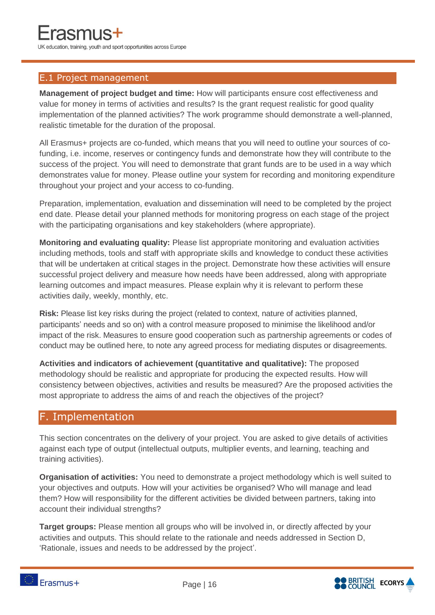#### E.1 Project management

**Management of project budget and time:** How will participants ensure cost effectiveness and value for money in terms of activities and results? Is the grant request realistic for good quality implementation of the planned activities? The work programme should demonstrate a well-planned, realistic timetable for the duration of the proposal.

All Erasmus+ projects are co-funded, which means that you will need to outline your sources of cofunding, i.e. income, reserves or contingency funds and demonstrate how they will contribute to the success of the project. You will need to demonstrate that grant funds are to be used in a way which demonstrates value for money. Please outline your system for recording and monitoring expenditure throughout your project and your access to co-funding.

Preparation, implementation, evaluation and dissemination will need to be completed by the project end date. Please detail your planned methods for monitoring progress on each stage of the project with the participating organisations and key stakeholders (where appropriate).

**Monitoring and evaluating quality:** Please list appropriate monitoring and evaluation activities including methods, tools and staff with appropriate skills and knowledge to conduct these activities that will be undertaken at critical stages in the project. Demonstrate how these activities will ensure successful project delivery and measure how needs have been addressed, along with appropriate learning outcomes and impact measures. Please explain why it is relevant to perform these activities daily, weekly, monthly, etc.

**Risk:** Please list key risks during the project (related to context, nature of activities planned, participants' needs and so on) with a control measure proposed to minimise the likelihood and/or impact of the risk. Measures to ensure good cooperation such as partnership agreements or codes of conduct may be outlined here, to note any agreed process for mediating disputes or disagreements.

**Activities and indicators of achievement (quantitative and qualitative):** The proposed methodology should be realistic and appropriate for producing the expected results. How will consistency between objectives, activities and results be measured? Are the proposed activities the most appropriate to address the aims of and reach the objectives of the project?

#### F. Implementation

This section concentrates on the delivery of your project. You are asked to give details of activities against each type of output (intellectual outputs, multiplier events, and learning, teaching and training activities).

**Organisation of activities:** You need to demonstrate a project methodology which is well suited to your objectives and outputs. How will your activities be organised? Who will manage and lead them? How will responsibility for the different activities be divided between partners, taking into account their individual strengths?

**Target groups:** Please mention all groups who will be involved in, or directly affected by your activities and outputs. This should relate to the rationale and needs addressed in Section D, 'Rationale, issues and needs to be addressed by the project'.





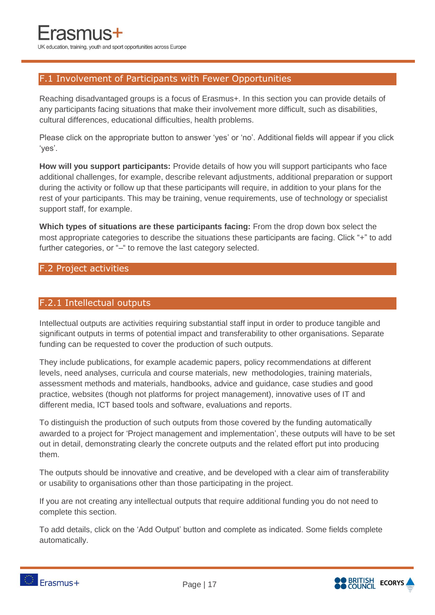#### F.1 Involvement of Participants with Fewer Opportunities

Reaching disadvantaged groups is a focus of Erasmus+. In this section you can provide details of any participants facing situations that make their involvement more difficult, such as disabilities, cultural differences, educational difficulties, health problems.

Please click on the appropriate button to answer 'yes' or 'no'. Additional fields will appear if you click 'yes'.

**How will you support participants:** Provide details of how you will support participants who face additional challenges, for example, describe relevant adjustments, additional preparation or support during the activity or follow up that these participants will require, in addition to your plans for the rest of your participants. This may be training, venue requirements, use of technology or specialist support staff, for example.

**Which types of situations are these participants facing:** From the drop down box select the most appropriate categories to describe the situations these participants are facing. Click "+" to add further categories, or "-" to remove the last category selected.

#### F.2 Project activities

#### F.2.1 Intellectual outputs

Intellectual outputs are activities requiring substantial staff input in order to produce tangible and significant outputs in terms of potential impact and transferability to other organisations. Separate funding can be requested to cover the production of such outputs.

They include publications, for example academic papers, policy recommendations at different levels, need analyses, curricula and course materials, new methodologies, training materials, assessment methods and materials, handbooks, advice and guidance, case studies and good practice, websites (though not platforms for project management), innovative uses of IT and different media, ICT based tools and software, evaluations and reports.

To distinguish the production of such outputs from those covered by the funding automatically awarded to a project for 'Project management and implementation', these outputs will have to be set out in detail, demonstrating clearly the concrete outputs and the related effort put into producing them.

The outputs should be innovative and creative, and be developed with a clear aim of transferability or usability to organisations other than those participating in the project.

If you are not creating any intellectual outputs that require additional funding you do not need to complete this section.

To add details, click on the 'Add Output' button and complete as indicated. Some fields complete automatically.



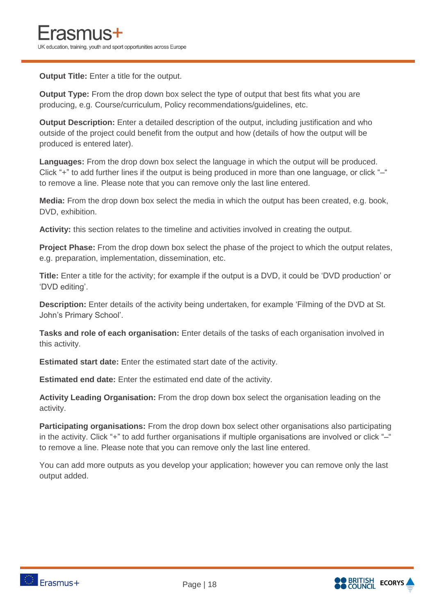**Output Title:** Enter a title for the output.

**Output Type:** From the drop down box select the type of output that best fits what you are producing, e.g. Course/curriculum, Policy recommendations/guidelines, etc.

**Output Description:** Enter a detailed description of the output, including justification and who outside of the project could benefit from the output and how (details of how the output will be produced is entered later).

**Languages:** From the drop down box select the language in which the output will be produced. Click "+" to add further lines if the output is being produced in more than one language, or click "–" to remove a line. Please note that you can remove only the last line entered.

**Media:** From the drop down box select the media in which the output has been created, e.g. book, DVD, exhibition.

**Activity:** this section relates to the timeline and activities involved in creating the output.

**Project Phase:** From the drop down box select the phase of the project to which the output relates, e.g. preparation, implementation, dissemination, etc.

**Title:** Enter a title for the activity; for example if the output is a DVD, it could be 'DVD production' or 'DVD editing'.

**Description:** Enter details of the activity being undertaken, for example 'Filming of the DVD at St. John's Primary School'.

**Tasks and role of each organisation:** Enter details of the tasks of each organisation involved in this activity.

**Estimated start date:** Enter the estimated start date of the activity.

**Estimated end date:** Enter the estimated end date of the activity.

**Activity Leading Organisation:** From the drop down box select the organisation leading on the activity.

**Participating organisations:** From the drop down box select other organisations also participating in the activity. Click "+" to add further organisations if multiple organisations are involved or click "–" to remove a line. Please note that you can remove only the last line entered.

You can add more outputs as you develop your application; however you can remove only the last output added.

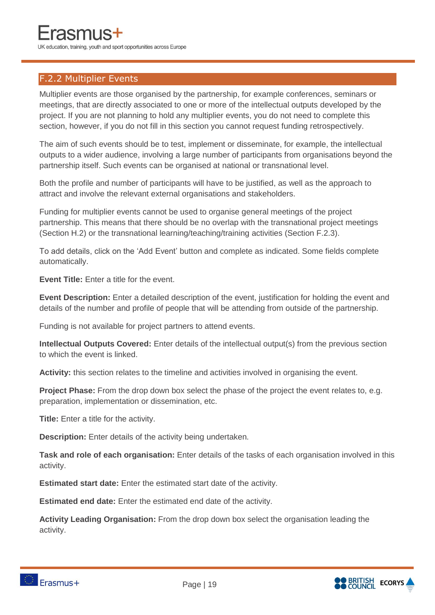#### F.2.2 Multiplier Events

Multiplier events are those organised by the partnership, for example conferences, seminars or meetings, that are directly associated to one or more of the intellectual outputs developed by the project. If you are not planning to hold any multiplier events, you do not need to complete this section, however, if you do not fill in this section you cannot request funding retrospectively.

The aim of such events should be to test, implement or disseminate, for example, the intellectual outputs to a wider audience, involving a large number of participants from organisations beyond the partnership itself. Such events can be organised at national or transnational level.

Both the profile and number of participants will have to be justified, as well as the approach to attract and involve the relevant external organisations and stakeholders.

Funding for multiplier events cannot be used to organise general meetings of the project partnership. This means that there should be no overlap with the transnational project meetings (Section H.2) or the transnational learning/teaching/training activities (Section F.2.3).

To add details, click on the 'Add Event' button and complete as indicated. Some fields complete automatically.

**Event Title:** Enter a title for the event.

**Event Description:** Enter a detailed description of the event, justification for holding the event and details of the number and profile of people that will be attending from outside of the partnership.

Funding is not available for project partners to attend events.

**Intellectual Outputs Covered:** Enter details of the intellectual output(s) from the previous section to which the event is linked.

**Activity:** this section relates to the timeline and activities involved in organising the event.

**Project Phase:** From the drop down box select the phase of the project the event relates to, e.g. preparation, implementation or dissemination, etc.

**Title:** Enter a title for the activity.

**Description:** Enter details of the activity being undertaken.

**Task and role of each organisation:** Enter details of the tasks of each organisation involved in this activity.

**Estimated start date:** Enter the estimated start date of the activity.

**Estimated end date:** Enter the estimated end date of the activity.

**Activity Leading Organisation:** From the drop down box select the organisation leading the activity.



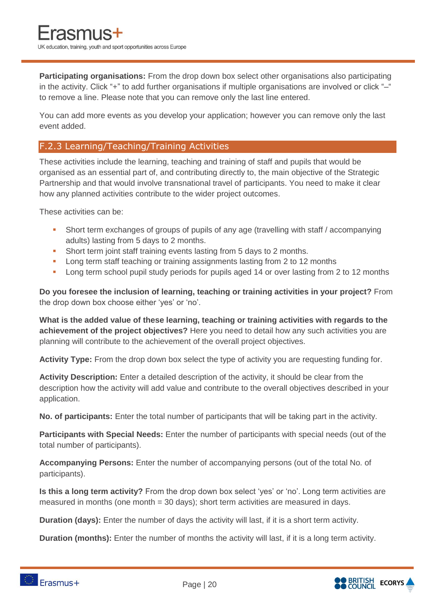**Participating organisations:** From the drop down box select other organisations also participating in the activity. Click "+" to add further organisations if multiple organisations are involved or click "-" to remove a line. Please note that you can remove only the last line entered.

You can add more events as you develop your application; however you can remove only the last event added.

#### F.2.3 Learning/Teaching/Training Activities

These activities include the learning, teaching and training of staff and pupils that would be organised as an essential part of, and contributing directly to, the main objective of the Strategic Partnership and that would involve transnational travel of participants. You need to make it clear how any planned activities contribute to the wider project outcomes.

These activities can be:

- Short term exchanges of groups of pupils of any age (travelling with staff / accompanying adults) lasting from 5 days to 2 months.
- **Short term joint staff training events lasting from 5 days to 2 months.**
- **Long term staff teaching or training assignments lasting from 2 to 12 months**
- **Long term school pupil study periods for pupils aged 14 or over lasting from 2 to 12 months**

**Do you foresee the inclusion of learning, teaching or training activities in your project?** From the drop down box choose either 'yes' or 'no'.

**What is the added value of these learning, teaching or training activities with regards to the achievement of the project objectives?** Here you need to detail how any such activities you are planning will contribute to the achievement of the overall project objectives.

**Activity Type:** From the drop down box select the type of activity you are requesting funding for.

**Activity Description:** Enter a detailed description of the activity, it should be clear from the description how the activity will add value and contribute to the overall objectives described in your application.

**No. of participants:** Enter the total number of participants that will be taking part in the activity.

**Participants with Special Needs:** Enter the number of participants with special needs (out of the total number of participants).

**Accompanying Persons:** Enter the number of accompanying persons (out of the total No. of participants).

**Is this a long term activity?** From the drop down box select 'yes' or 'no'. Long term activities are measured in months (one month = 30 days); short term activities are measured in days.

**Duration (days):** Enter the number of days the activity will last, if it is a short term activity.

**Duration (months):** Enter the number of months the activity will last, if it is a long term activity.

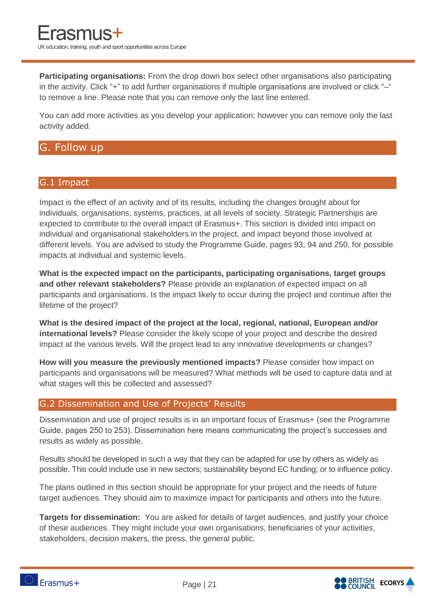**Participating organisations:** From the drop down box select other organisations also participating in the activity. Click "+" to add further organisations if multiple organisations are involved or click "–" to remove a line. Please note that you can remove only the last line entered.

You can add more activities as you develop your application; however you can remove only the last activity added.

#### G. Follow up

#### G.1 Impact

Impact is the effect of an activity and of its results, including the changes brought about for individuals, organisations, systems, practices, at all levels of society. Strategic Partnerships are expected to contribute to the overall impact of Erasmus+. This section is divided into impact on individual and organisational stakeholders in the project, and impact beyond those involved at different levels. You are advised to study the Programme Guide, pages 93, 94 and 250, for possible impacts at individual and systemic levels.

**What is the expected impact on the participants, participating organisations, target groups and other relevant stakeholders?** Please provide an explanation of expected impact on all participants and organisations. Is the impact likely to occur during the project and continue after the lifetime of the project?

**What is the desired impact of the project at the local, regional, national, European and/or international levels?** Please consider the likely scope of your project and describe the desired impact at the various levels. Will the project lead to any innovative developments or changes?

**How will you measure the previously mentioned impacts?** Please consider how impact on participants and organisations will be measured? What methods will be used to capture data and at what stages will this be collected and assessed?

#### G.2 Dissemination and Use of Projects' Results

Dissemination and use of project results is in an important focus of Erasmus+ (see the Programme Guide, pages 250 to 253). Dissemination here means communicating the project's successes and results as widely as possible.

Results should be developed in such a way that they can be adapted for use by others as widely as possible. This could include use in new sectors; sustainability beyond EC funding; or to influence policy.

The plans outlined in this section should be appropriate for your project and the needs of future target audiences. They should aim to maximize impact for participants and others into the future.

**Targets for dissemination:** You are asked for details of target audiences, and justify your choice of these audiences. They might include your own organisations, beneficiaries of your activities, stakeholders, decision makers, the press, the general public.



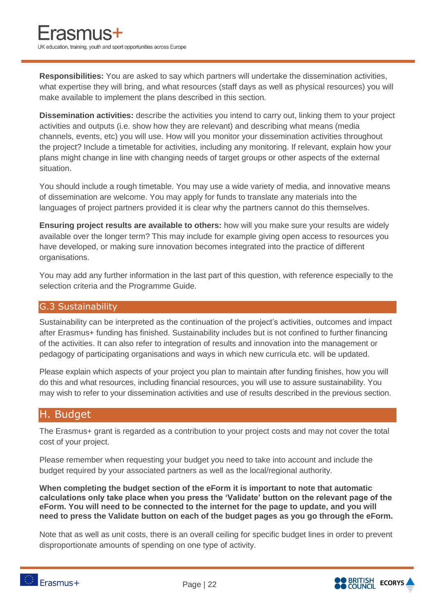**Responsibilities:** You are asked to say which partners will undertake the dissemination activities, what expertise they will bring, and what resources (staff days as well as physical resources) you will make available to implement the plans described in this section.

**Dissemination activities:** describe the activities you intend to carry out, linking them to your project activities and outputs (i.e. show how they are relevant) and describing what means (media channels, events, etc) you will use. How will you monitor your dissemination activities throughout the project? Include a timetable for activities, including any monitoring. If relevant, explain how your plans might change in line with changing needs of target groups or other aspects of the external situation.

You should include a rough timetable. You may use a wide variety of media, and innovative means of dissemination are welcome. You may apply for funds to translate any materials into the languages of project partners provided it is clear why the partners cannot do this themselves.

**Ensuring project results are available to others:** how will you make sure your results are widely available over the longer term? This may include for example giving open access to resources you have developed, or making sure innovation becomes integrated into the practice of different organisations.

You may add any further information in the last part of this question, with reference especially to the selection criteria and the Programme Guide.

#### G.3 Sustainability

Sustainability can be interpreted as the continuation of the project's activities, outcomes and impact after Erasmus+ funding has finished. Sustainability includes but is not confined to further financing of the activities. It can also refer to integration of results and innovation into the management or pedagogy of participating organisations and ways in which new curricula etc. will be updated.

Please explain which aspects of your project you plan to maintain after funding finishes, how you will do this and what resources, including financial resources, you will use to assure sustainability. You may wish to refer to your dissemination activities and use of results described in the previous section.

#### H. Budget

The Erasmus+ grant is regarded as a contribution to your project costs and may not cover the total cost of your project.

Please remember when requesting your budget you need to take into account and include the budget required by your associated partners as well as the local/regional authority.

**When completing the budget section of the eForm it is important to note that automatic calculations only take place when you press the 'Validate' button on the relevant page of the eForm. You will need to be connected to the internet for the page to update, and you will need to press the Validate button on each of the budget pages as you go through the eForm.** 

Note that as well as unit costs, there is an overall ceiling for specific budget lines in order to prevent disproportionate amounts of spending on one type of activity.

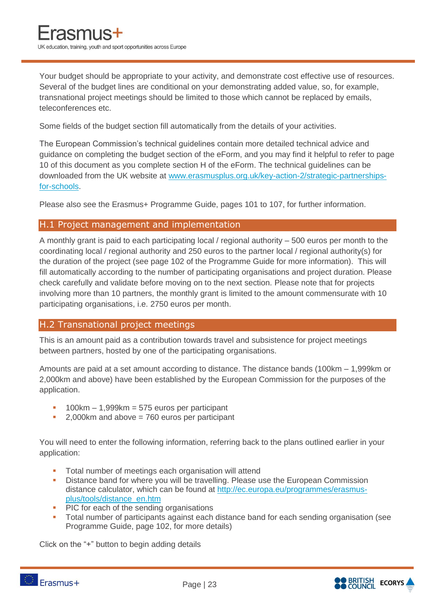Your budget should be appropriate to your activity, and demonstrate cost effective use of resources. Several of the budget lines are conditional on your demonstrating added value, so, for example, transnational project meetings should be limited to those which cannot be replaced by emails, teleconferences etc.

Some fields of the budget section fill automatically from the details of your activities.

The European Commission's technical guidelines contain more detailed technical advice and guidance on completing the budget section of the eForm, and you may find it helpful to refer to page 10 of this document as you complete section H of the eForm. The technical guidelines can be downloaded from the UK website at [www.erasmusplus.org.uk/key-action-2/strategic-partnerships](http://www.erasmusplus.org.uk/key-action-2/strategic-partnerships-for-schools)[for-schools.](http://www.erasmusplus.org.uk/key-action-2/strategic-partnerships-for-schools)

Please also see the Erasmus+ Programme Guide, pages 101 to 107, for further information.

#### H.1 Project management and implementation

A monthly grant is paid to each participating local / regional authority – 500 euros per month to the coordinating local / regional authority and 250 euros to the partner local / regional authority(s) for the duration of the project (see page 102 of the Programme Guide for more information). This will fill automatically according to the number of participating organisations and project duration. Please check carefully and validate before moving on to the next section. Please note that for projects involving more than 10 partners, the monthly grant is limited to the amount commensurate with 10 participating organisations, i.e. 2750 euros per month.

#### H.2 Transnational project meetings

This is an amount paid as a contribution towards travel and subsistence for project meetings between partners, hosted by one of the participating organisations.

Amounts are paid at a set amount according to distance. The distance bands (100km – 1,999km or 2,000km and above) have been established by the European Commission for the purposes of the application.

- 100km 1,999km = 575 euros per participant
- 2,000km and above = 760 euros per participant

You will need to enter the following information, referring back to the plans outlined earlier in your application:

- Total number of meetings each organisation will attend
- **Distance band for where you will be travelling. Please use the European Commission** distance calculator, which can be found at [http://ec.europa.eu/programmes/erasmus](http://ec.europa.eu/programmes/erasmus-plus/tools/distance_en.htm)[plus/tools/distance\\_en.htm](http://ec.europa.eu/programmes/erasmus-plus/tools/distance_en.htm)
- PIC for each of the sending organisations
- Total number of participants against each distance band for each sending organisation (see Programme Guide, page 102, for more details)

Click on the "+" button to begin adding details

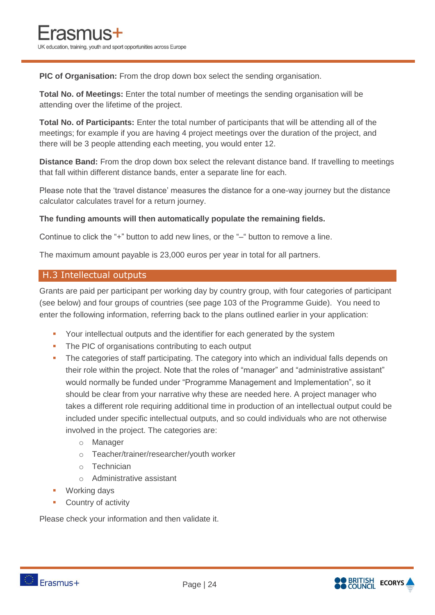**PIC of Organisation:** From the drop down box select the sending organisation.

**Total No. of Meetings:** Enter the total number of meetings the sending organisation will be attending over the lifetime of the project.

**Total No. of Participants:** Enter the total number of participants that will be attending all of the meetings; for example if you are having 4 project meetings over the duration of the project, and there will be 3 people attending each meeting, you would enter 12.

**Distance Band:** From the drop down box select the relevant distance band. If travelling to meetings that fall within different distance bands, enter a separate line for each.

Please note that the 'travel distance' measures the distance for a one-way journey but the distance calculator calculates travel for a return journey.

#### **The funding amounts will then automatically populate the remaining fields.**

Continue to click the "+" button to add new lines, or the "–" button to remove a line.

The maximum amount payable is 23,000 euros per year in total for all partners.

#### H.3 Intellectual outputs

Grants are paid per participant per working day by country group, with four categories of participant (see below) and four groups of countries (see page 103 of the Programme Guide). You need to enter the following information, referring back to the plans outlined earlier in your application:

- Your intellectual outputs and the identifier for each generated by the system
- The PIC of organisations contributing to each output
- The categories of staff participating. The category into which an individual falls depends on their role within the project. Note that the roles of "manager" and "administrative assistant" would normally be funded under "Programme Management and Implementation", so it should be clear from your narrative why these are needed here. A project manager who takes a different role requiring additional time in production of an intellectual output could be included under specific intellectual outputs, and so could individuals who are not otherwise involved in the project. The categories are:
	- o Manager
	- o Teacher/trainer/researcher/youth worker
	- o Technician
	- o Administrative assistant
- Working days
- **Country of activity**

Please check your information and then validate it.

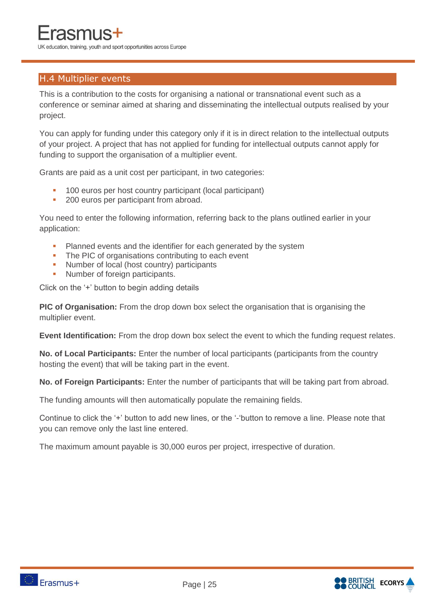#### H.4 Multiplier events

This is a contribution to the costs for organising a national or transnational event such as a conference or seminar aimed at sharing and disseminating the intellectual outputs realised by your project.

You can apply for funding under this category only if it is in direct relation to the intellectual outputs of your project. A project that has not applied for funding for intellectual outputs cannot apply for funding to support the organisation of a multiplier event.

Grants are paid as a unit cost per participant, in two categories:

- <sup>1</sup> 100 euros per host country participant (local participant)
- **200 euros per participant from abroad.**

You need to enter the following information, referring back to the plans outlined earlier in your application:

- Planned events and the identifier for each generated by the system
- The PIC of organisations contributing to each event
- Number of local (host country) participants
- Number of foreign participants.

Click on the '+' button to begin adding details

**PIC of Organisation:** From the drop down box select the organisation that is organising the multiplier event.

**Event Identification:** From the drop down box select the event to which the funding request relates.

**No. of Local Participants:** Enter the number of local participants (participants from the country hosting the event) that will be taking part in the event.

**No. of Foreign Participants:** Enter the number of participants that will be taking part from abroad.

The funding amounts will then automatically populate the remaining fields.

Continue to click the '+' button to add new lines, or the '-'button to remove a line. Please note that you can remove only the last line entered.

The maximum amount payable is 30,000 euros per project, irrespective of duration.



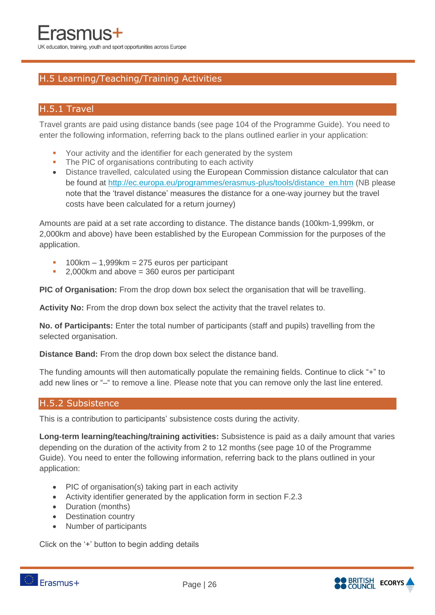#### H.5 Learning/Teaching/Training Activities

#### H.5.1 Travel

Travel grants are paid using distance bands (see page 104 of the Programme Guide). You need to enter the following information, referring back to the plans outlined earlier in your application:

- Your activity and the identifier for each generated by the system
- The PIC of organisations contributing to each activity
- Distance travelled, calculated using the European Commission distance calculator that can be found at [http://ec.europa.eu/programmes/erasmus-plus/tools/distance\\_en.htm](http://ec.europa.eu/programmes/erasmus-plus/tools/distance_en.htm) (NB please note that the 'travel distance' measures the distance for a one-way journey but the travel costs have been calculated for a return journey)

Amounts are paid at a set rate according to distance. The distance bands (100km-1,999km, or 2,000km and above) have been established by the European Commission for the purposes of the application.

- 100km 1,999km = 275 euros per participant
- $\blacksquare$  2,000km and above = 360 euros per participant

**PIC of Organisation:** From the drop down box select the organisation that will be travelling.

**Activity No:** From the drop down box select the activity that the travel relates to.

**No. of Participants:** Enter the total number of participants (staff and pupils) travelling from the selected organisation.

**Distance Band:** From the drop down box select the distance band.

The funding amounts will then automatically populate the remaining fields. Continue to click "+" to add new lines or "–" to remove a line. Please note that you can remove only the last line entered.

#### H.5.2 Subsistence

This is a contribution to participants' subsistence costs during the activity.

**Long-term learning/teaching/training activities:** Subsistence is paid as a daily amount that varies depending on the duration of the activity from 2 to 12 months (see page 10 of the Programme Guide). You need to enter the following information, referring back to the plans outlined in your application:

- PIC of organisation(s) taking part in each activity
- Activity identifier generated by the application form in section F.2.3
- Duration (months)
- Destination country
- Number of participants

Click on the '+' button to begin adding details

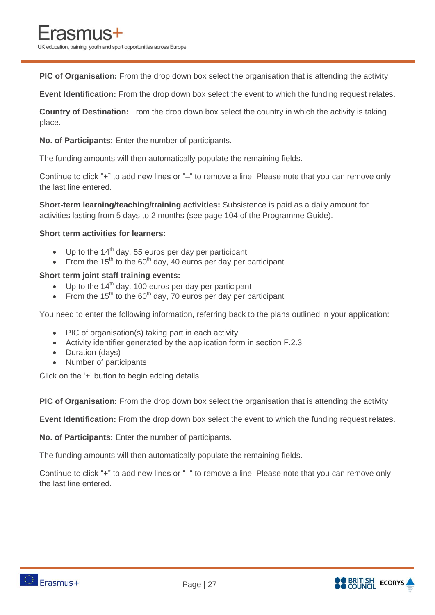**PIC of Organisation:** From the drop down box select the organisation that is attending the activity.

**Event Identification:** From the drop down box select the event to which the funding request relates.

**Country of Destination:** From the drop down box select the country in which the activity is taking place.

**No. of Participants:** Enter the number of participants.

The funding amounts will then automatically populate the remaining fields.

Continue to click "+" to add new lines or "–" to remove a line. Please note that you can remove only the last line entered.

**Short-term learning/teaching/training activities:** Subsistence is paid as a daily amount for activities lasting from 5 days to 2 months (see page 104 of the Programme Guide).

#### **Short term activities for learners:**

- $\bullet$  Up to the 14<sup>th</sup> day, 55 euros per day per participant
- From the  $15<sup>th</sup>$  to the 60<sup>th</sup> day, 40 euros per day per participant

#### **Short term joint staff training events:**

- $\bullet$  Up to the 14<sup>th</sup> day, 100 euros per day per participant
- From the 15<sup>th</sup> to the 60<sup>th</sup> day, 70 euros per day per participant

You need to enter the following information, referring back to the plans outlined in your application:

- PIC of organisation(s) taking part in each activity
- Activity identifier generated by the application form in section F.2.3
- Duration (days)
- Number of participants

Click on the '+' button to begin adding details

**PIC of Organisation:** From the drop down box select the organisation that is attending the activity.

**Event Identification:** From the drop down box select the event to which the funding request relates.

**No. of Participants:** Enter the number of participants.

The funding amounts will then automatically populate the remaining fields.

Continue to click "+" to add new lines or "–" to remove a line. Please note that you can remove only the last line entered.

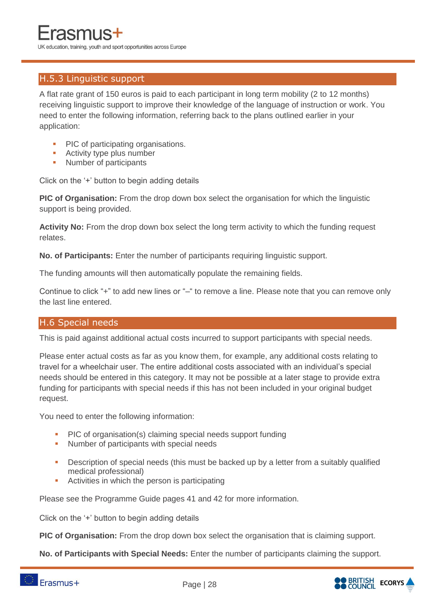#### H.5.3 Linguistic support

A flat rate grant of 150 euros is paid to each participant in long term mobility (2 to 12 months) receiving linguistic support to improve their knowledge of the language of instruction or work. You need to enter the following information, referring back to the plans outlined earlier in your application:

- PIC of participating organisations.
- **Activity type plus number**
- Number of participants

Click on the '+' button to begin adding details

**PIC of Organisation:** From the drop down box select the organisation for which the linguistic support is being provided.

**Activity No:** From the drop down box select the long term activity to which the funding request relates.

**No. of Participants:** Enter the number of participants requiring linguistic support.

The funding amounts will then automatically populate the remaining fields.

Continue to click "+" to add new lines or "–" to remove a line. Please note that you can remove only the last line entered.

#### H.6 Special needs

This is paid against additional actual costs incurred to support participants with special needs.

Please enter actual costs as far as you know them, for example, any additional costs relating to travel for a wheelchair user. The entire additional costs associated with an individual's special needs should be entered in this category. It may not be possible at a later stage to provide extra funding for participants with special needs if this has not been included in your original budget request.

You need to enter the following information:

- PIC of organisation(s) claiming special needs support funding
- **Number of participants with special needs**
- **-** Description of special needs (this must be backed up by a letter from a suitably qualified medical professional)
- **Activities in which the person is participating**

Please see the Programme Guide pages 41 and 42 for more information.

Click on the '+' button to begin adding details

**PIC of Organisation:** From the drop down box select the organisation that is claiming support.

**No. of Participants with Special Needs:** Enter the number of participants claiming the support.

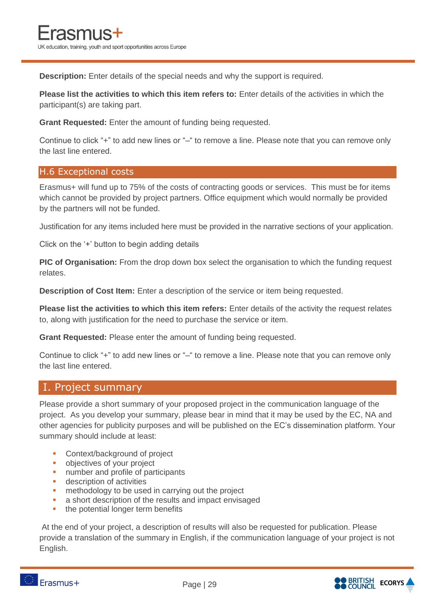**Description:** Enter details of the special needs and why the support is required.

**Please list the activities to which this item refers to:** Enter details of the activities in which the participant(s) are taking part.

**Grant Requested:** Enter the amount of funding being requested.

Continue to click "+" to add new lines or "–" to remove a line. Please note that you can remove only the last line entered.

#### H.6 Exceptional costs

Erasmus+ will fund up to 75% of the costs of contracting goods or services. This must be for items which cannot be provided by project partners. Office equipment which would normally be provided by the partners will not be funded.

Justification for any items included here must be provided in the narrative sections of your application.

Click on the '+' button to begin adding details

**PIC of Organisation:** From the drop down box select the organisation to which the funding request relates.

**Description of Cost Item:** Enter a description of the service or item being requested.

**Please list the activities to which this item refers:** Enter details of the activity the request relates to, along with justification for the need to purchase the service or item.

**Grant Requested:** Please enter the amount of funding being requested.

Continue to click "+" to add new lines or "–" to remove a line. Please note that you can remove only the last line entered.

#### I. Project summary

Please provide a short summary of your proposed project in the communication language of the project. As you develop your summary, please bear in mind that it may be used by the EC, NA and other agencies for publicity purposes and will be published on the EC's dissemination platform. Your summary should include at least:

- **Context/background of project**
- **•** objectives of your project
- **number and profile of participants**
- **description of activities**
- **n** methodology to be used in carrying out the project
- **a** a short description of the results and impact envisaged
- the potential longer term benefits

At the end of your project, a description of results will also be requested for publication. Please provide a translation of the summary in English, if the communication language of your project is not English.





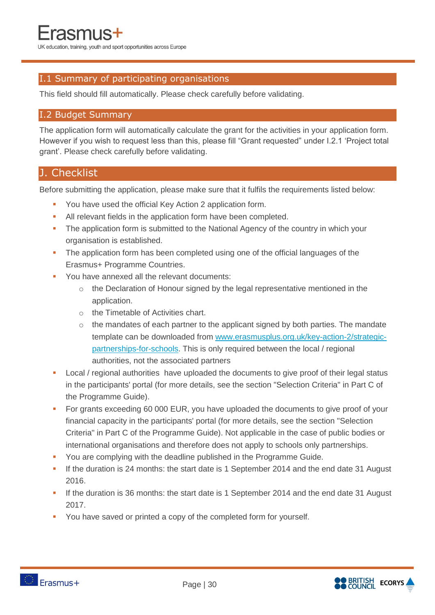#### I.1 Summary of participating organisations

This field should fill automatically. Please check carefully before validating.

#### I.2 Budget Summary

The application form will automatically calculate the grant for the activities in your application form. However if you wish to request less than this, please fill "Grant requested" under I.2.1 'Project total grant'. Please check carefully before validating.

#### J. Checklist

Before submitting the application, please make sure that it fulfils the requirements listed below:

- **You have used the official Key Action 2 application form.**
- All relevant fields in the application form have been completed.
- The application form is submitted to the National Agency of the country in which your organisation is established.
- The application form has been completed using one of the official languages of the Erasmus+ Programme Countries.
- **You have annexed all the relevant documents:** 
	- $\circ$  the Declaration of Honour signed by the legal representative mentioned in the application.
	- o the Timetable of Activities chart.
	- o the mandates of each partner to the applicant signed by both parties. The mandate template can be downloaded from [www.erasmusplus.org.uk/key-action-2/strategic](http://www.erasmusplus.org.uk/key-action-2/strategic-partnerships-for-schools)[partnerships-for-schools.](http://www.erasmusplus.org.uk/key-action-2/strategic-partnerships-for-schools) This is only required between the local / regional authorities, not the associated partners
- **Local / regional authorities have uploaded the documents to give proof of their legal status** in the participants' portal (for more details, see the section "Selection Criteria" in Part C of the Programme Guide).
- For grants exceeding 60 000 EUR, you have uploaded the documents to give proof of your financial capacity in the participants' portal (for more details, see the section "Selection Criteria" in Part C of the Programme Guide). Not applicable in the case of public bodies or international organisations and therefore does not apply to schools only partnerships.
- You are complying with the deadline published in the Programme Guide.
- If the duration is 24 months: the start date is 1 September 2014 and the end date 31 August 2016.
- If the duration is 36 months: the start date is 1 September 2014 and the end date 31 August 2017.
- You have saved or printed a copy of the completed form for yourself.

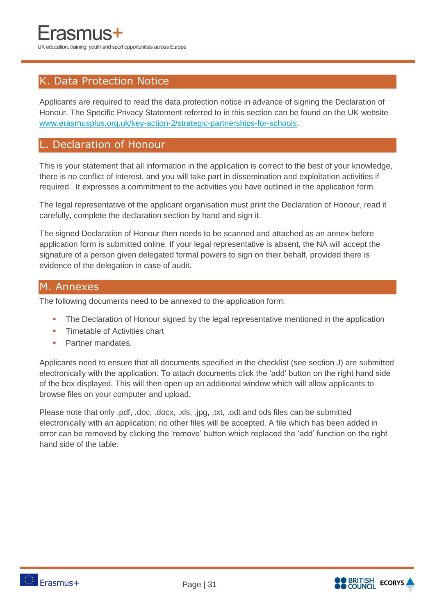#### K. Data Protection Notice

Applicants are required to read the data protection notice in advance of signing the Declaration of Honour. The Specific Privacy Statement referred to in this section can be found on the UK website [www.erasmusplus.org.uk/key-action-2/strategic-partnerships-for-schools.](http://www.erasmusplus.org.uk/key-action-2/strategic-partnerships-for-schools)

#### L. Declaration of Honour

This is your statement that all information in the application is correct to the best of your knowledge, there is no conflict of interest, and you will take part in dissemination and exploitation activities if required. It expresses a commitment to the activities you have outlined in the application form.

The legal representative of the applicant organisation must print the Declaration of Honour, read it carefully, complete the declaration section by hand and sign it.

The signed Declaration of Honour then needs to be scanned and attached as an annex before application form is submitted online. If your legal representative is absent, the NA will accept the signature of a person given delegated formal powers to sign on their behalf, provided there is evidence of the delegation in case of audit.

#### M. Annexes

The following documents need to be annexed to the application form:

- **The Declaration of Honour signed by the legal representative mentioned in the application**
- **Timetable of Activities chart**
- Partner mandates.

Applicants need to ensure that all documents specified in the checklist (see section J) are submitted electronically with the application. To attach documents click the 'add' button on the right hand side of the box displayed. This will then open up an additional window which will allow applicants to browse files on your computer and upload.

Please note that only .pdf, .doc, .docx, .xls, .jpg, .txt, .odt and ods files can be submitted electronically with an application; no other files will be accepted. A file which has been added in error can be removed by clicking the 'remove' button which replaced the 'add' function on the right hand side of the table.